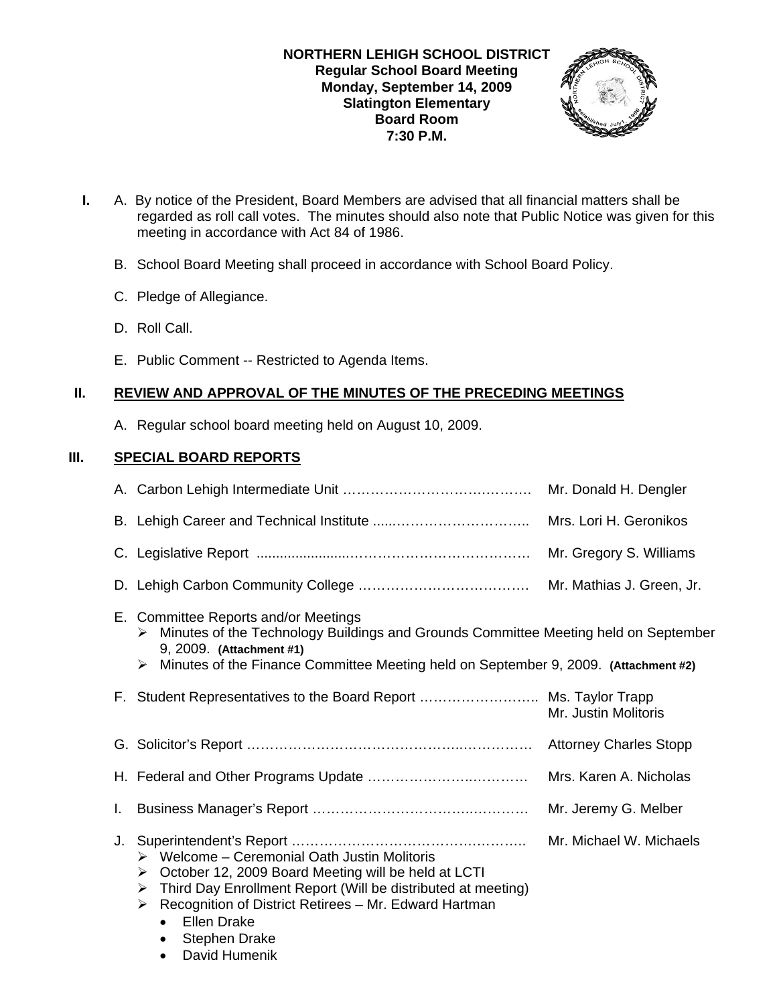

- **I.** A. By notice of the President, Board Members are advised that all financial matters shall be regarded as roll call votes. The minutes should also note that Public Notice was given for this meeting in accordance with Act 84 of 1986.
	- B. School Board Meeting shall proceed in accordance with School Board Policy.
	- C. Pledge of Allegiance.
	- D. Roll Call.
	- E. Public Comment -- Restricted to Agenda Items.

### **II. REVIEW AND APPROVAL OF THE MINUTES OF THE PRECEDING MEETINGS**

A. Regular school board meeting held on August 10, 2009.

### **III. SPECIAL BOARD REPORTS**

|    |                                                                                                                                                                                                                                                                                                                                                     | Mr. Donald H. Dengler         |
|----|-----------------------------------------------------------------------------------------------------------------------------------------------------------------------------------------------------------------------------------------------------------------------------------------------------------------------------------------------------|-------------------------------|
|    |                                                                                                                                                                                                                                                                                                                                                     | Mrs. Lori H. Geronikos        |
|    |                                                                                                                                                                                                                                                                                                                                                     | Mr. Gregory S. Williams       |
|    |                                                                                                                                                                                                                                                                                                                                                     | Mr. Mathias J. Green, Jr.     |
|    | E. Committee Reports and/or Meetings<br>Minutes of the Technology Buildings and Grounds Committee Meeting held on September<br>➤<br>9, 2009. (Attachment #1)<br>Minutes of the Finance Committee Meeting held on September 9, 2009. (Attachment #2)<br>➤                                                                                            |                               |
|    | F. Student Representatives to the Board Report  Ms. Taylor Trapp                                                                                                                                                                                                                                                                                    | Mr. Justin Molitoris          |
|    |                                                                                                                                                                                                                                                                                                                                                     | <b>Attorney Charles Stopp</b> |
|    |                                                                                                                                                                                                                                                                                                                                                     | Mrs. Karen A. Nicholas        |
| L. |                                                                                                                                                                                                                                                                                                                                                     | Mr. Jeremy G. Melber          |
| J. | $\triangleright$ Welcome – Ceremonial Oath Justin Molitoris<br>October 12, 2009 Board Meeting will be held at LCTI<br>➤<br>Third Day Enrollment Report (Will be distributed at meeting)<br>➤<br>Recognition of District Retirees - Mr. Edward Hartman<br>≻<br><b>Ellen Drake</b><br>$\bullet$<br><b>Stephen Drake</b><br>David Humenik<br>$\bullet$ | Mr. Michael W. Michaels       |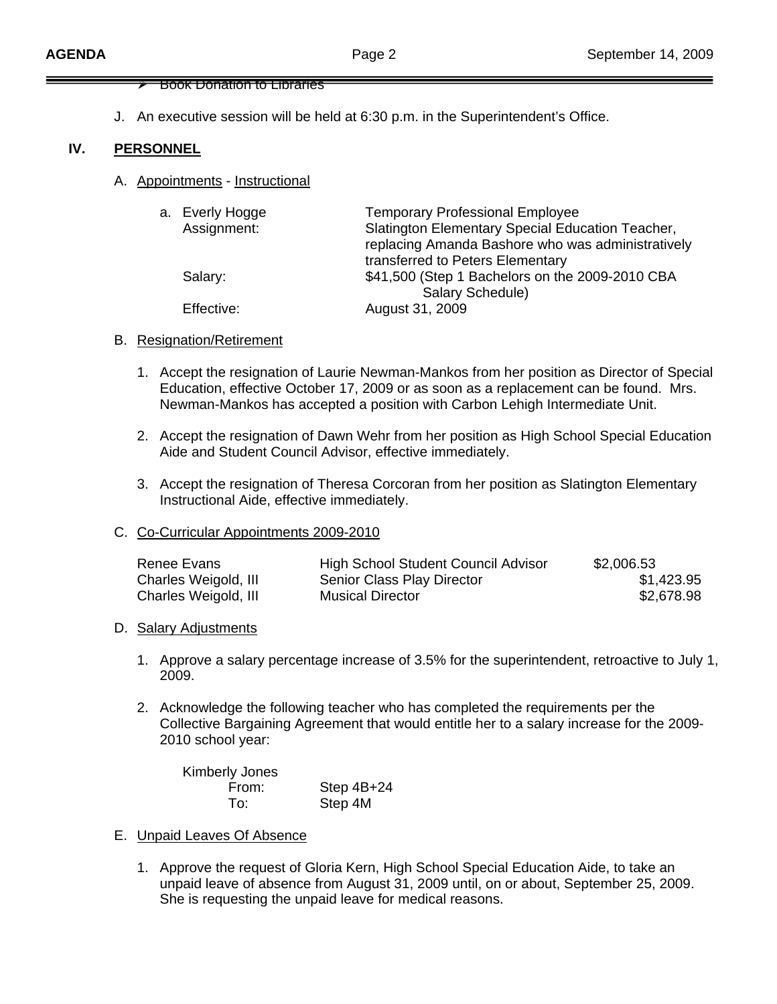#### ¾ Book Donation to Libraries

J. An executive session will be held at 6:30 p.m. in the Superintendent's Office.

#### **IV. PERSONNEL**

A. Appointments - Instructional

| a. Everly Hogge | <b>Temporary Professional Employee</b>            |
|-----------------|---------------------------------------------------|
| Assignment:     | Slatington Elementary Special Education Teacher,  |
|                 | replacing Amanda Bashore who was administratively |
|                 | transferred to Peters Elementary                  |
| Salary:         | \$41,500 (Step 1 Bachelors on the 2009-2010 CBA   |
|                 | Salary Schedule)                                  |
| Effective:      | August 31, 2009                                   |
|                 |                                                   |

#### B. Resignation/Retirement

- 1. Accept the resignation of Laurie Newman-Mankos from her position as Director of Special Education, effective October 17, 2009 or as soon as a replacement can be found. Mrs. Newman-Mankos has accepted a position with Carbon Lehigh Intermediate Unit.
- 2. Accept the resignation of Dawn Wehr from her position as High School Special Education Aide and Student Council Advisor, effective immediately.
- 3. Accept the resignation of Theresa Corcoran from her position as Slatington Elementary Instructional Aide, effective immediately.

#### C. Co-Curricular Appointments 2009-2010

| Renee Evans          | High School Student Council Advisor | \$2,006.53 |
|----------------------|-------------------------------------|------------|
| Charles Weigold, III | Senior Class Play Director          | \$1,423.95 |
| Charles Weigold, III | <b>Musical Director</b>             | \$2,678.98 |

#### D. Salary Adjustments

- 1. Approve a salary percentage increase of 3.5% for the superintendent, retroactive to July 1, 2009.
- 2. Acknowledge the following teacher who has completed the requirements per the Collective Bargaining Agreement that would entitle her to a salary increase for the 2009- 2010 school year:

| <b>Kimberly Jones</b> |              |
|-----------------------|--------------|
| From:                 | Step $4B+24$ |
| To:                   | Step 4M      |

- E. Unpaid Leaves Of Absence
	- 1. Approve the request of Gloria Kern, High School Special Education Aide, to take an unpaid leave of absence from August 31, 2009 until, on or about, September 25, 2009. She is requesting the unpaid leave for medical reasons.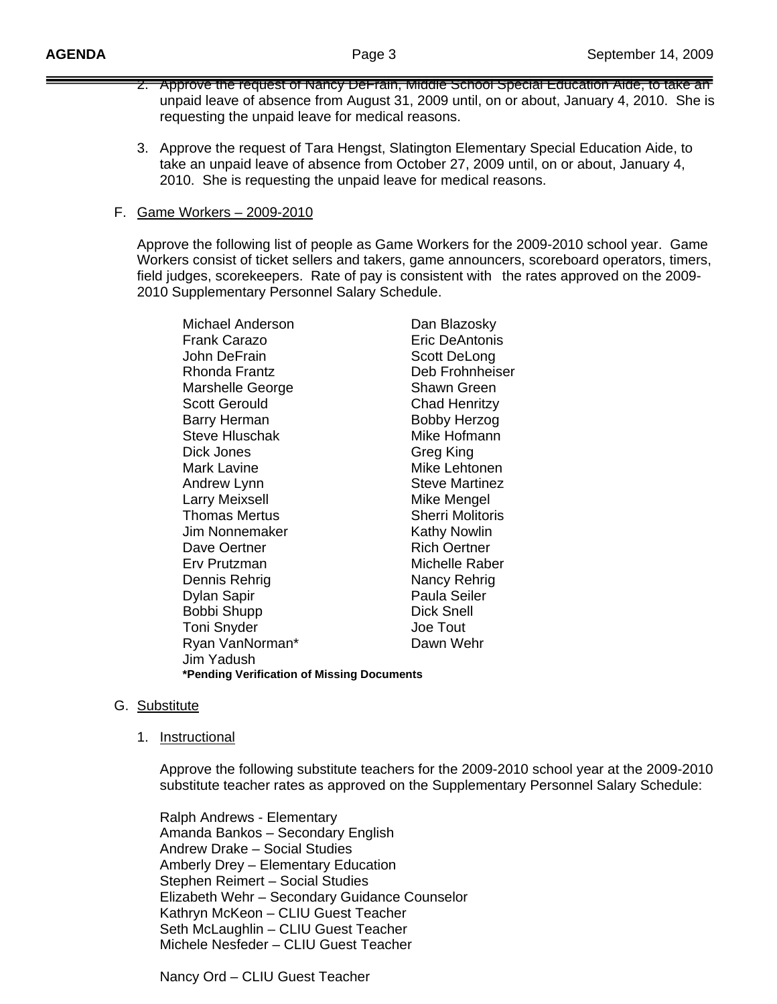- 2. Approve the request of Nancy DeFrain, Middle School Special Education Aide, to take an unpaid leave of absence from August 31, 2009 until, on or about, January 4, 2010. She is requesting the unpaid leave for medical reasons.
- 3. Approve the request of Tara Hengst, Slatington Elementary Special Education Aide, to take an unpaid leave of absence from October 27, 2009 until, on or about, January 4, 2010. She is requesting the unpaid leave for medical reasons.

#### F. Game Workers – 2009-2010

 Approve the following list of people as Game Workers for the 2009-2010 school year. Game Workers consist of ticket sellers and takers, game announcers, scoreboard operators, timers, field judges, scorekeepers. Rate of pay is consistent with the rates approved on the 2009- 2010 Supplementary Personnel Salary Schedule.

| Michael Anderson                           | Dan Blazosky            |  |
|--------------------------------------------|-------------------------|--|
| Frank Carazo                               | Eric DeAntonis          |  |
| John DeFrain                               | Scott DeLong            |  |
| Rhonda Frantz                              | Deb Frohnheiser         |  |
| Marshelle George                           | <b>Shawn Green</b>      |  |
| <b>Scott Gerould</b>                       | Chad Henritzy           |  |
| <b>Barry Herman</b>                        | <b>Bobby Herzog</b>     |  |
| <b>Steve Hluschak</b>                      | Mike Hofmann            |  |
| Dick Jones                                 | Greg King               |  |
| Mark Lavine                                | Mike Lehtonen           |  |
| Andrew Lynn                                | <b>Steve Martinez</b>   |  |
| <b>Larry Meixsell</b>                      | Mike Mengel             |  |
| Thomas Mertus                              | <b>Sherri Molitoris</b> |  |
| Jim Nonnemaker                             | <b>Kathy Nowlin</b>     |  |
| Dave Oertner                               | <b>Rich Oertner</b>     |  |
| Erv Prutzman                               | Michelle Raber          |  |
| Dennis Rehrig                              | Nancy Rehrig            |  |
| Dylan Sapir                                | Paula Seiler            |  |
| Bobbi Shupp                                | <b>Dick Snell</b>       |  |
| <b>Toni Snyder</b>                         | Joe Tout                |  |
| Ryan VanNorman*                            | Dawn Wehr               |  |
| Jim Yadush                                 |                         |  |
| *Pending Verification of Missing Documents |                         |  |

### G. Substitute

1. Instructional

 Approve the following substitute teachers for the 2009-2010 school year at the 2009-2010 substitute teacher rates as approved on the Supplementary Personnel Salary Schedule:

 Ralph Andrews - Elementary Amanda Bankos – Secondary English Andrew Drake – Social Studies Amberly Drey – Elementary Education Stephen Reimert – Social Studies Elizabeth Wehr – Secondary Guidance Counselor Kathryn McKeon – CLIU Guest Teacher Seth McLaughlin – CLIU Guest Teacher Michele Nesfeder – CLIU Guest Teacher

Nancy Ord – CLIU Guest Teacher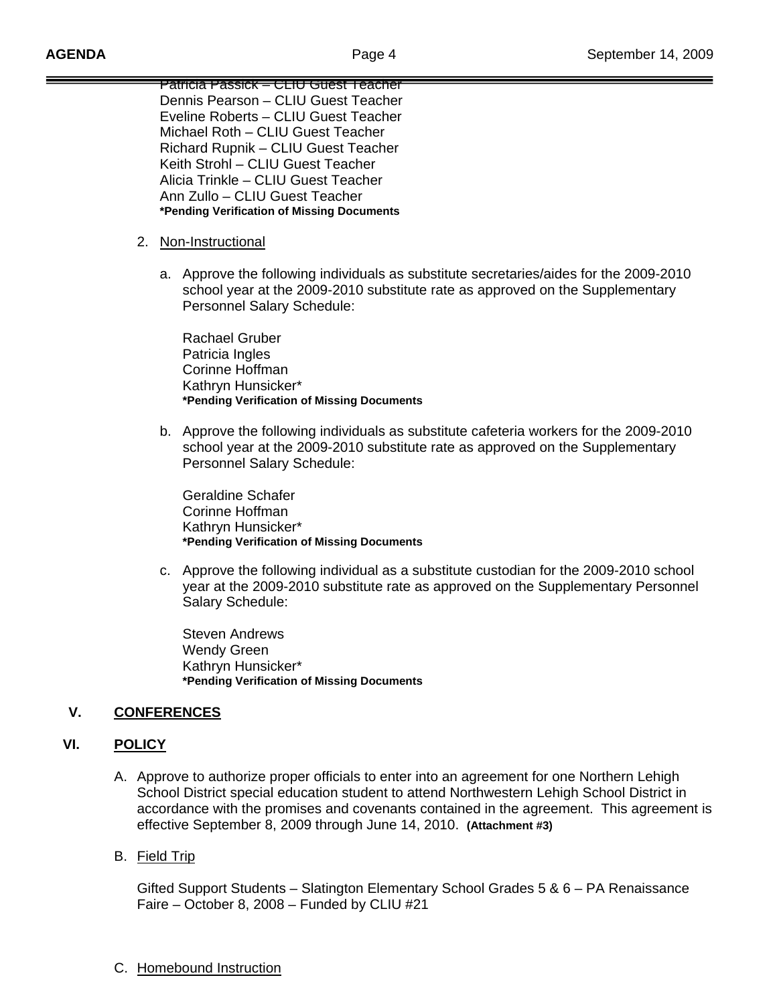Patricia Passick – CLIU Guest Teacher Dennis Pearson – CLIU Guest Teacher Eveline Roberts – CLIU Guest Teacher Michael Roth – CLIU Guest Teacher Richard Rupnik – CLIU Guest Teacher Keith Strohl – CLIU Guest Teacher Alicia Trinkle – CLIU Guest Teacher Ann Zullo – CLIU Guest Teacher **\*Pending Verification of Missing Documents**

- 2. Non-Instructional
	- a. Approve the following individuals as substitute secretaries/aides for the 2009-2010 school year at the 2009-2010 substitute rate as approved on the Supplementary Personnel Salary Schedule:

 Rachael Gruber Patricia Ingles Corinne Hoffman Kathryn Hunsicker\* **\*Pending Verification of Missing Documents**

b. Approve the following individuals as substitute cafeteria workers for the 2009-2010 school year at the 2009-2010 substitute rate as approved on the Supplementary Personnel Salary Schedule:

 Geraldine Schafer Corinne Hoffman Kathryn Hunsicker\* **\*Pending Verification of Missing Documents**

c. Approve the following individual as a substitute custodian for the 2009-2010 school year at the 2009-2010 substitute rate as approved on the Supplementary Personnel Salary Schedule:

 Steven Andrews Wendy Green Kathryn Hunsicker\* **\*Pending Verification of Missing Documents**

### **V. CONFERENCES**

### **VI. POLICY**

- A. Approve to authorize proper officials to enter into an agreement for one Northern Lehigh School District special education student to attend Northwestern Lehigh School District in accordance with the promises and covenants contained in the agreement. This agreement is effective September 8, 2009 through June 14, 2010. **(Attachment #3)**
- B. Field Trip

Gifted Support Students – Slatington Elementary School Grades 5 & 6 – PA Renaissance Faire – October 8, 2008 – Funded by CLIU #21

C. Homebound Instruction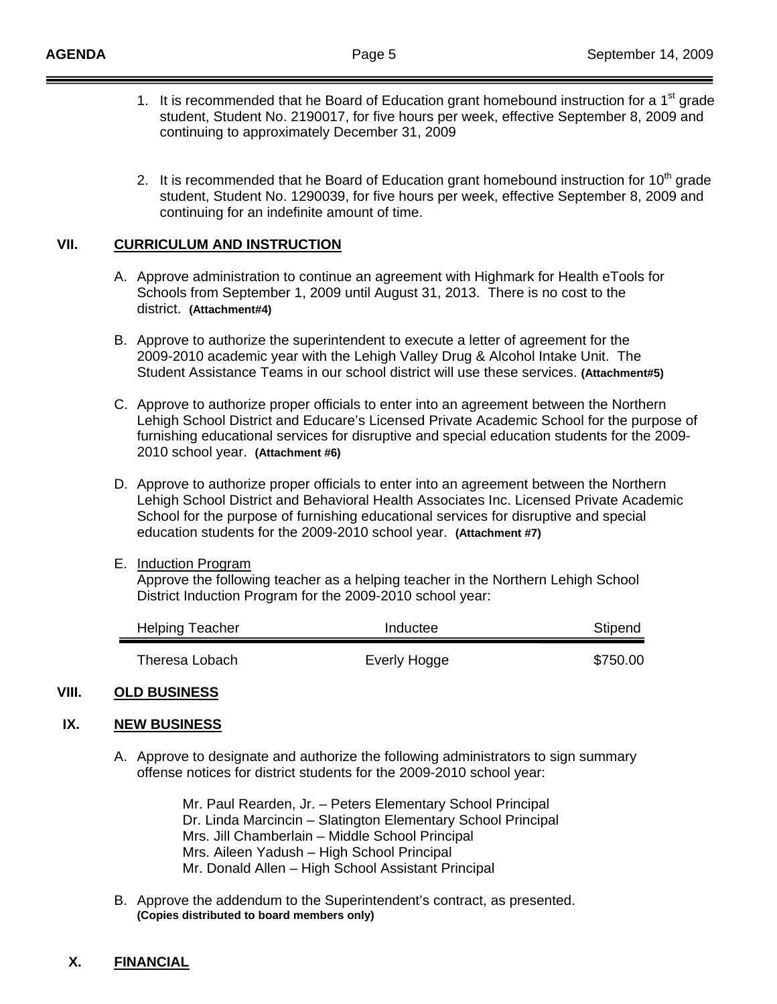- 1. It is recommended that he Board of Education grant homebound instruction for a 1<sup>st</sup> grade student, Student No. 2190017, for five hours per week, effective September 8, 2009 and continuing to approximately December 31, 2009
- 2. It is recommended that he Board of Education grant homebound instruction for  $10<sup>th</sup>$  grade student, Student No. 1290039, for five hours per week, effective September 8, 2009 and continuing for an indefinite amount of time.

#### **VII. CURRICULUM AND INSTRUCTION**

- A. Approve administration to continue an agreement with Highmark for Health eTools for Schools from September 1, 2009 until August 31, 2013. There is no cost to the district. **(Attachment#4)**
- B. Approve to authorize the superintendent to execute a letter of agreement for the 2009-2010 academic year with the Lehigh Valley Drug & Alcohol Intake Unit. The Student Assistance Teams in our school district will use these services. **(Attachment#5)**
- C. Approve to authorize proper officials to enter into an agreement between the Northern Lehigh School District and Educare's Licensed Private Academic School for the purpose of furnishing educational services for disruptive and special education students for the 2009- 2010 school year. **(Attachment #6)**
- D. Approve to authorize proper officials to enter into an agreement between the Northern Lehigh School District and Behavioral Health Associates Inc. Licensed Private Academic School for the purpose of furnishing educational services for disruptive and special education students for the 2009-2010 school year. **(Attachment #7)**
- E. Induction Program

 Approve the following teacher as a helping teacher in the Northern Lehigh School District Induction Program for the 2009-2010 school year:

| <b>Helping Teacher</b> | Inductee     | Stipend  |
|------------------------|--------------|----------|
| Theresa Lobach         | Everly Hogge | \$750.00 |

#### **VIII. OLD BUSINESS**

#### **IX. NEW BUSINESS**

A. Approve to designate and authorize the following administrators to sign summary offense notices for district students for the 2009-2010 school year:

> Mr. Paul Rearden, Jr. – Peters Elementary School Principal Dr. Linda Marcincin – Slatington Elementary School Principal Mrs. Jill Chamberlain – Middle School Principal Mrs. Aileen Yadush – High School Principal Mr. Donald Allen – High School Assistant Principal

B. Approve the addendum to the Superintendent's contract, as presented. **(Copies distributed to board members only)** 

### **X. FINANCIAL**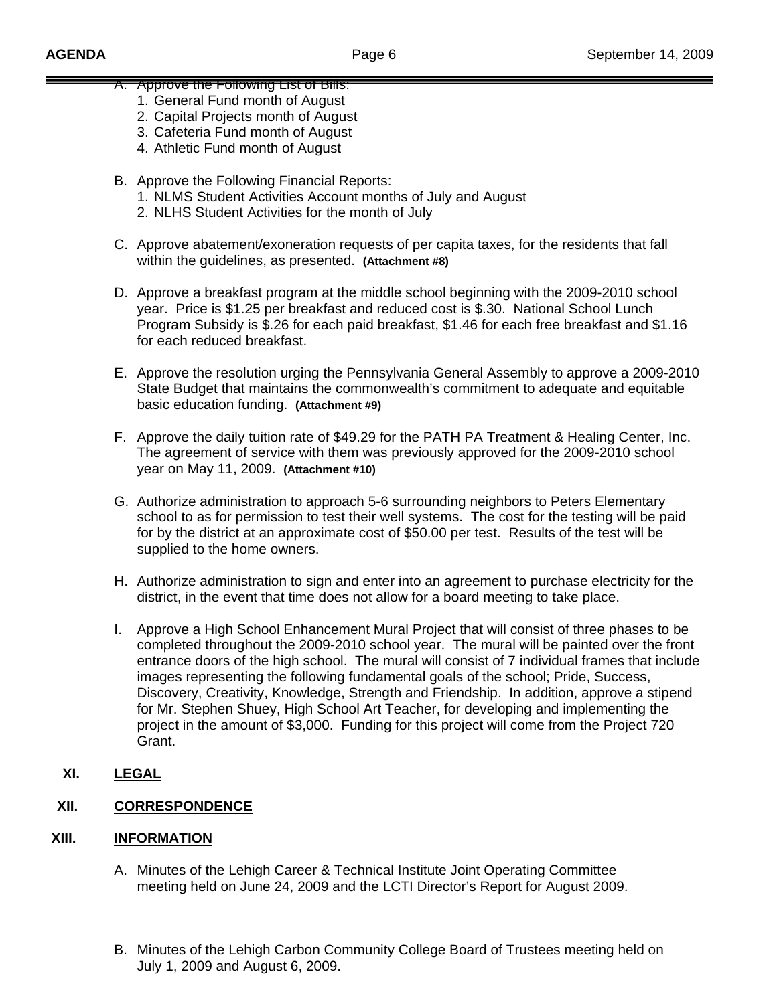- A. Approve the Following List of Bills:
	- 1. General Fund month of August
	- 2. Capital Projects month of August
	- 3. Cafeteria Fund month of August
	- 4. Athletic Fund month of August
- B. Approve the Following Financial Reports:
	- 1. NLMS Student Activities Account months of July and August
	- 2. NLHS Student Activities for the month of July
- C. Approve abatement/exoneration requests of per capita taxes, for the residents that fall within the guidelines, as presented. **(Attachment #8)**
- D. Approve a breakfast program at the middle school beginning with the 2009-2010 school year. Price is \$1.25 per breakfast and reduced cost is \$.30. National School Lunch Program Subsidy is \$.26 for each paid breakfast, \$1.46 for each free breakfast and \$1.16 for each reduced breakfast.
- E. Approve the resolution urging the Pennsylvania General Assembly to approve a 2009-2010 State Budget that maintains the commonwealth's commitment to adequate and equitable basic education funding. **(Attachment #9)**
- F. Approve the daily tuition rate of \$49.29 for the PATH PA Treatment & Healing Center, Inc. The agreement of service with them was previously approved for the 2009-2010 school year on May 11, 2009. **(Attachment #10)**
- G. Authorize administration to approach 5-6 surrounding neighbors to Peters Elementary school to as for permission to test their well systems. The cost for the testing will be paid for by the district at an approximate cost of \$50.00 per test. Results of the test will be supplied to the home owners.
- H. Authorize administration to sign and enter into an agreement to purchase electricity for the district, in the event that time does not allow for a board meeting to take place.
- I. Approve a High School Enhancement Mural Project that will consist of three phases to be completed throughout the 2009-2010 school year. The mural will be painted over the front entrance doors of the high school. The mural will consist of 7 individual frames that include images representing the following fundamental goals of the school; Pride, Success, Discovery, Creativity, Knowledge, Strength and Friendship. In addition, approve a stipend for Mr. Stephen Shuey, High School Art Teacher, for developing and implementing the project in the amount of \$3,000. Funding for this project will come from the Project 720 Grant.
- **XI. LEGAL**

## **XII. CORRESPONDENCE**

### **XIII. INFORMATION**

- A. Minutes of the Lehigh Career & Technical Institute Joint Operating Committee meeting held on June 24, 2009 and the LCTI Director's Report for August 2009.
- B. Minutes of the Lehigh Carbon Community College Board of Trustees meeting held on July 1, 2009 and August 6, 2009.